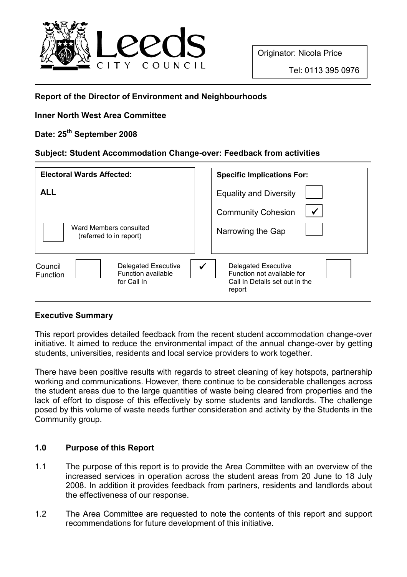

# Report of the Director of Environment and Neighbourhoods

# Inner North West Area Committee

# Date: 25<sup>th</sup> September 2008

## Subject: Student Accommodation Change-over: Feedback from activities

| <b>Electoral Wards Affected:</b>                                                       | <b>Specific Implications For:</b>                                                                    |
|----------------------------------------------------------------------------------------|------------------------------------------------------------------------------------------------------|
| <b>ALL</b>                                                                             | <b>Equality and Diversity</b>                                                                        |
| Ward Members consulted<br>(referred to in report)                                      | <b>Community Cohesion</b><br>Narrowing the Gap                                                       |
| Delegated Executive<br>Council<br>Function available<br><b>Function</b><br>for Call In | <b>Delegated Executive</b><br>Function not available for<br>Call In Details set out in the<br>report |

# Executive Summary

This report provides detailed feedback from the recent student accommodation change-over initiative. It aimed to reduce the environmental impact of the annual change-over by getting students, universities, residents and local service providers to work together.

There have been positive results with regards to street cleaning of key hotspots, partnership working and communications. However, there continue to be considerable challenges across the student areas due to the large quantities of waste being cleared from properties and the lack of effort to dispose of this effectively by some students and landlords. The challenge posed by this volume of waste needs further consideration and activity by the Students in the Community group.

# 1.0 Purpose of this Report

- 1.1 The purpose of this report is to provide the Area Committee with an overview of the increased services in operation across the student areas from 20 June to 18 July 2008. In addition it provides feedback from partners, residents and landlords about the effectiveness of our response.
- 1.2 The Area Committee are requested to note the contents of this report and support recommendations for future development of this initiative.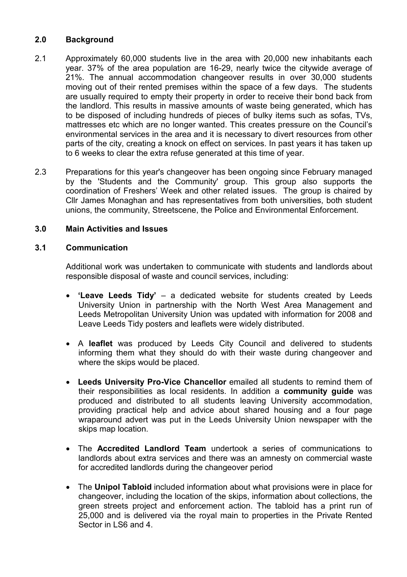## 2.0 Background

- 2.1 Approximately 60,000 students live in the area with 20,000 new inhabitants each year. 37% of the area population are 16-29, nearly twice the citywide average of 21%. The annual accommodation changeover results in over 30,000 students moving out of their rented premises within the space of a few days. The students are usually required to empty their property in order to receive their bond back from the landlord. This results in massive amounts of waste being generated, which has to be disposed of including hundreds of pieces of bulky items such as sofas, TVs, mattresses etc which are no longer wanted. This creates pressure on the Council's environmental services in the area and it is necessary to divert resources from other parts of the city, creating a knock on effect on services. In past years it has taken up to 6 weeks to clear the extra refuse generated at this time of year.
- 2.3 Preparations for this year's changeover has been ongoing since February managed by the 'Students and the Community' group. This group also supports the coordination of Freshers' Week and other related issues. The group is chaired by Cllr James Monaghan and has representatives from both universities, both student unions, the community, Streetscene, the Police and Environmental Enforcement.

## 3.0 Main Activities and Issues

## 3.1 Communication

Additional work was undertaken to communicate with students and landlords about responsible disposal of waste and council services, including:

- 'Leave Leeds Tidy' a dedicated website for students created by Leeds University Union in partnership with the North West Area Management and Leeds Metropolitan University Union was updated with information for 2008 and Leave Leeds Tidy posters and leaflets were widely distributed.
- A leaflet was produced by Leeds City Council and delivered to students informing them what they should do with their waste during changeover and where the skips would be placed.
- Leeds University Pro-Vice Chancellor emailed all students to remind them of their responsibilities as local residents. In addition a community guide was produced and distributed to all students leaving University accommodation, providing practical help and advice about shared housing and a four page wraparound advert was put in the Leeds University Union newspaper with the skips map location.
- The Accredited Landlord Team undertook a series of communications to landlords about extra services and there was an amnesty on commercial waste for accredited landlords during the changeover period
- The Unipol Tabloid included information about what provisions were in place for changeover, including the location of the skips, information about collections, the green streets project and enforcement action. The tabloid has a print run of 25,000 and is delivered via the royal main to properties in the Private Rented Sector in LS6 and 4.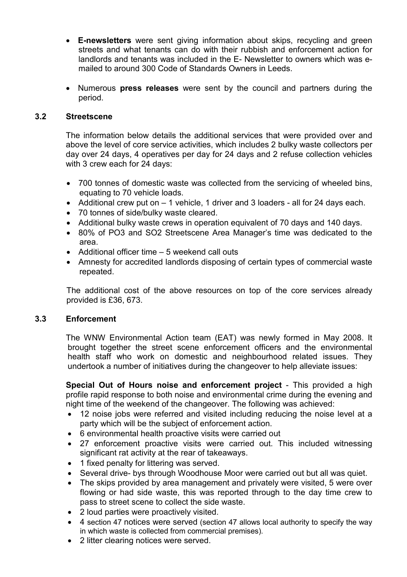- E-newsletters were sent giving information about skips, recycling and green streets and what tenants can do with their rubbish and enforcement action for landlords and tenants was included in the E- Newsletter to owners which was emailed to around 300 Code of Standards Owners in Leeds.
- Numerous press releases were sent by the council and partners during the period.

#### 3.2 Streetscene

The information below details the additional services that were provided over and above the level of core service activities, which includes 2 bulky waste collectors per day over 24 days, 4 operatives per day for 24 days and 2 refuse collection vehicles with 3 crew each for 24 days:

- 700 tonnes of domestic waste was collected from the servicing of wheeled bins, equating to 70 vehicle loads.
- Additional crew put on 1 vehicle, 1 driver and 3 loaders all for 24 days each.
- 70 tonnes of side/bulky waste cleared.
- Additional bulky waste crews in operation equivalent of 70 days and 140 days.
- 80% of PO3 and SO2 Streetscene Area Manager's time was dedicated to the area.
- Additional officer time 5 weekend call outs
- Amnesty for accredited landlords disposing of certain types of commercial waste repeated.

The additional cost of the above resources on top of the core services already provided is £36, 673.

#### 3.3 Enforcement

The WNW Environmental Action team (EAT) was newly formed in May 2008. It brought together the street scene enforcement officers and the environmental health staff who work on domestic and neighbourhood related issues. They undertook a number of initiatives during the changeover to help alleviate issues:

Special Out of Hours noise and enforcement project - This provided a high profile rapid response to both noise and environmental crime during the evening and night time of the weekend of the changeover. The following was achieved:

- 12 noise jobs were referred and visited including reducing the noise level at a party which will be the subject of enforcement action.
- 6 environmental health proactive visits were carried out
- 27 enforcement proactive visits were carried out. This included witnessing significant rat activity at the rear of takeaways.
- 1 fixed penalty for littering was served.
- Several drive- bys through Woodhouse Moor were carried out but all was quiet.
- The skips provided by area management and privately were visited, 5 were over flowing or had side waste, this was reported through to the day time crew to pass to street scene to collect the side waste.
- 2 loud parties were proactively visited.
- 4 section 47 notices were served (section 47 allows local authority to specify the way in which waste is collected from commercial premises).
- 2 litter clearing notices were served.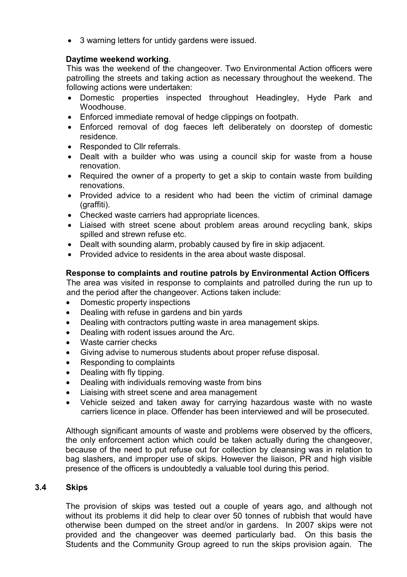• 3 warning letters for untidy gardens were issued.

## Daytime weekend working.

This was the weekend of the changeover. Two Environmental Action officers were patrolling the streets and taking action as necessary throughout the weekend. The following actions were undertaken:

- Domestic properties inspected throughout Headingley, Hyde Park and Woodhouse.
- Enforced immediate removal of hedge clippings on footpath.
- Enforced removal of dog faeces left deliberately on doorstep of domestic residence.
- Responded to Cllr referrals.
- Dealt with a builder who was using a council skip for waste from a house renovation.
- Required the owner of a property to get a skip to contain waste from building renovations.
- Provided advice to a resident who had been the victim of criminal damage (graffiti).
- Checked waste carriers had appropriate licences.
- Liaised with street scene about problem areas around recycling bank, skips spilled and strewn refuse etc.
- Dealt with sounding alarm, probably caused by fire in skip adjacent.
- Provided advice to residents in the area about waste disposal.

# Response to complaints and routine patrols by Environmental Action Officers

The area was visited in response to complaints and patrolled during the run up to and the period after the changeover. Actions taken include:

- Domestic property inspections
- Dealing with refuse in gardens and bin yards
- Dealing with contractors putting waste in area management skips.
- Dealing with rodent issues around the Arc.
- Waste carrier checks
- Giving advise to numerous students about proper refuse disposal.
- Responding to complaints
- Dealing with fly tipping.
- Dealing with individuals removing waste from bins
- Liaising with street scene and area management
- Vehicle seized and taken away for carrying hazardous waste with no waste carriers licence in place. Offender has been interviewed and will be prosecuted.

Although significant amounts of waste and problems were observed by the officers, the only enforcement action which could be taken actually during the changeover, because of the need to put refuse out for collection by cleansing was in relation to bag slashers, and improper use of skips. However the liaison, PR and high visible presence of the officers is undoubtedly a valuable tool during this period.

#### 3.4 Skips

The provision of skips was tested out a couple of years ago, and although not without its problems it did help to clear over 50 tonnes of rubbish that would have otherwise been dumped on the street and/or in gardens. In 2007 skips were not provided and the changeover was deemed particularly bad. On this basis the Students and the Community Group agreed to run the skips provision again. The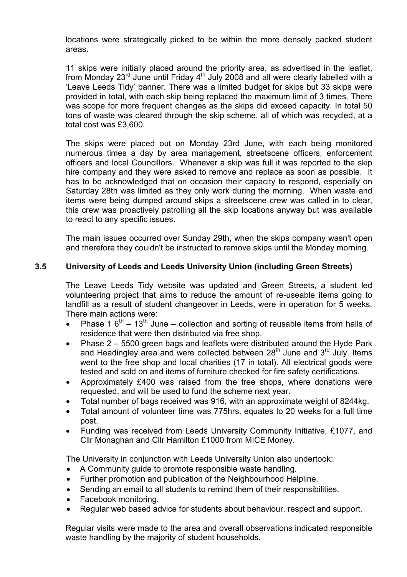locations were strategically picked to be within the more densely packed student areas.

11 skips were initially placed around the priority area, as advertised in the leaflet, from Monday 23<sup>rd</sup> June until Friday 4<sup>th</sup> July 2008 and all were clearly labelled with a 'Leave Leeds Tidy' banner. There was a limited budget for skips but 33 skips were provided in total, with each skip being replaced the maximum limit of 3 times. There was scope for more frequent changes as the skips did exceed capacity. In total 50 tons of waste was cleared through the skip scheme, all of which was recycled, at a total cost was £3,600.

The skips were placed out on Monday 23rd June, with each being monitored numerous times a day by area management, streetscene officers, enforcement officers and local Councillors. Whenever a skip was full it was reported to the skip hire company and they were asked to remove and replace as soon as possible. It has to be acknowledged that on occasion their capacity to respond, especially on Saturday 28th was limited as they only work during the morning. When waste and items were being dumped around skips a streetscene crew was called in to clear, this crew was proactively patrolling all the skip locations anyway but was available to react to any specific issues.

The main issues occurred over Sunday 29th, when the skips company wasn't open and therefore they couldn't be instructed to remove skips until the Monday morning.

## 3.5 University of Leeds and Leeds University Union (including Green Streets)

The Leave Leeds Tidy website was updated and Green Streets, a student led volunteering project that aims to reduce the amount of re-useable items going to landfill as a result of student changeover in Leeds, were in operation for 5 weeks. There main actions were:

- Phase 1  $6<sup>th</sup> 13<sup>th</sup>$  June collection and sorting of reusable items from halls of residence that were then distributed via free shop.
- Phase 2 5500 green bags and leaflets were distributed around the Hyde Park and Headingley area and were collected between  $28<sup>th</sup>$  June and  $3<sup>rd</sup>$  July. Items went to the free shop and local charities (17 in total). All electrical goods were tested and sold on and items of furniture checked for fire safety certifications.
- Approximately £400 was raised from the free shops, where donations were requested, and will be used to fund the scheme next year.
- Total number of bags received was 916, with an approximate weight of 8244kg.
- Total amount of volunteer time was 775hrs, equates to 20 weeks for a full time post.
- Funding was received from Leeds University Community Initiative, £1077, and Cllr Monaghan and Cllr Hamilton £1000 from MICE Money.

The University in conjunction with Leeds University Union also undertook:

- A Community guide to promote responsible waste handling.
- Further promotion and publication of the Neighbourhood Helpline.
- Sending an email to all students to remind them of their responsibilities.
- Facebook monitoring.
- Regular web based advice for students about behaviour, respect and support.

Regular visits were made to the area and overall observations indicated responsible waste handling by the majority of student households.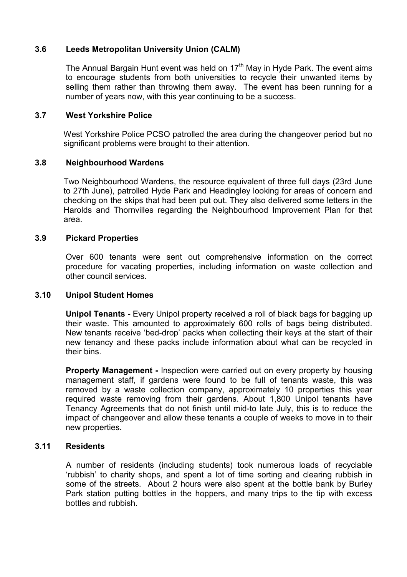### 3.6 Leeds Metropolitan University Union (CALM)

The Annual Bargain Hunt event was held on  $17<sup>th</sup>$  May in Hyde Park. The event aims to encourage students from both universities to recycle their unwanted items by selling them rather than throwing them away. The event has been running for a number of years now, with this year continuing to be a success.

### 3.7 West Yorkshire Police

West Yorkshire Police PCSO patrolled the area during the changeover period but no significant problems were brought to their attention.

## 3.8 Neighbourhood Wardens

Two Neighbourhood Wardens, the resource equivalent of three full days (23rd June to 27th June), patrolled Hyde Park and Headingley looking for areas of concern and checking on the skips that had been put out. They also delivered some letters in the Harolds and Thornvilles regarding the Neighbourhood Improvement Plan for that area.

### 3.9 Pickard Properties

Over 600 tenants were sent out comprehensive information on the correct procedure for vacating properties, including information on waste collection and other council services.

#### 3.10 Unipol Student Homes

Unipol Tenants - Every Unipol property received a roll of black bags for bagging up their waste. This amounted to approximately 600 rolls of bags being distributed. New tenants receive 'bed-drop' packs when collecting their keys at the start of their new tenancy and these packs include information about what can be recycled in their bins.

**Property Management - Inspection were carried out on every property by housing** management staff, if gardens were found to be full of tenants waste, this was removed by a waste collection company, approximately 10 properties this year required waste removing from their gardens. About 1,800 Unipol tenants have Tenancy Agreements that do not finish until mid-to late July, this is to reduce the impact of changeover and allow these tenants a couple of weeks to move in to their new properties.

## 3.11 Residents

A number of residents (including students) took numerous loads of recyclable 'rubbish' to charity shops, and spent a lot of time sorting and clearing rubbish in some of the streets. About 2 hours were also spent at the bottle bank by Burley Park station putting bottles in the hoppers, and many trips to the tip with excess bottles and rubbish.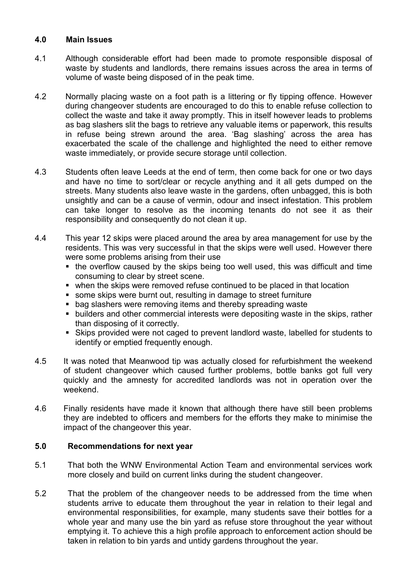#### 4.0 Main Issues

- 4.1 Although considerable effort had been made to promote responsible disposal of waste by students and landlords, there remains issues across the area in terms of volume of waste being disposed of in the peak time.
- 4.2 Normally placing waste on a foot path is a littering or fly tipping offence. However during changeover students are encouraged to do this to enable refuse collection to collect the waste and take it away promptly. This in itself however leads to problems as bag slashers slit the bags to retrieve any valuable items or paperwork, this results in refuse being strewn around the area. 'Bag slashing' across the area has exacerbated the scale of the challenge and highlighted the need to either remove waste immediately, or provide secure storage until collection.
- 4.3 Students often leave Leeds at the end of term, then come back for one or two days and have no time to sort/clear or recycle anything and it all gets dumped on the streets. Many students also leave waste in the gardens, often unbagged, this is both unsightly and can be a cause of vermin, odour and insect infestation. This problem can take longer to resolve as the incoming tenants do not see it as their responsibility and consequently do not clean it up.
- 4.4 This year 12 skips were placed around the area by area management for use by the residents. This was very successful in that the skips were well used. However there were some problems arising from their use
	- $\blacksquare$  the overflow caused by the skips being too well used, this was difficult and time consuming to clear by street scene.
	- when the skips were removed refuse continued to be placed in that location
	- some skips were burnt out, resulting in damage to street furniture
	- bag slashers were removing items and thereby spreading waste
	- builders and other commercial interests were depositing waste in the skips, rather than disposing of it correctly.
	- Skips provided were not caged to prevent landlord waste, labelled for students to identify or emptied frequently enough.
- 4.5 It was noted that Meanwood tip was actually closed for refurbishment the weekend of student changeover which caused further problems, bottle banks got full very quickly and the amnesty for accredited landlords was not in operation over the weekend.
- 4.6 Finally residents have made it known that although there have still been problems they are indebted to officers and members for the efforts they make to minimise the impact of the changeover this year.

## 5.0 Recommendations for next year

- 5.1 That both the WNW Environmental Action Team and environmental services work more closely and build on current links during the student changeover.
- 5.2 That the problem of the changeover needs to be addressed from the time when students arrive to educate them throughout the year in relation to their legal and environmental responsibilities, for example, many students save their bottles for a whole year and many use the bin yard as refuse store throughout the year without emptying it. To achieve this a high profile approach to enforcement action should be taken in relation to bin yards and untidy gardens throughout the year.